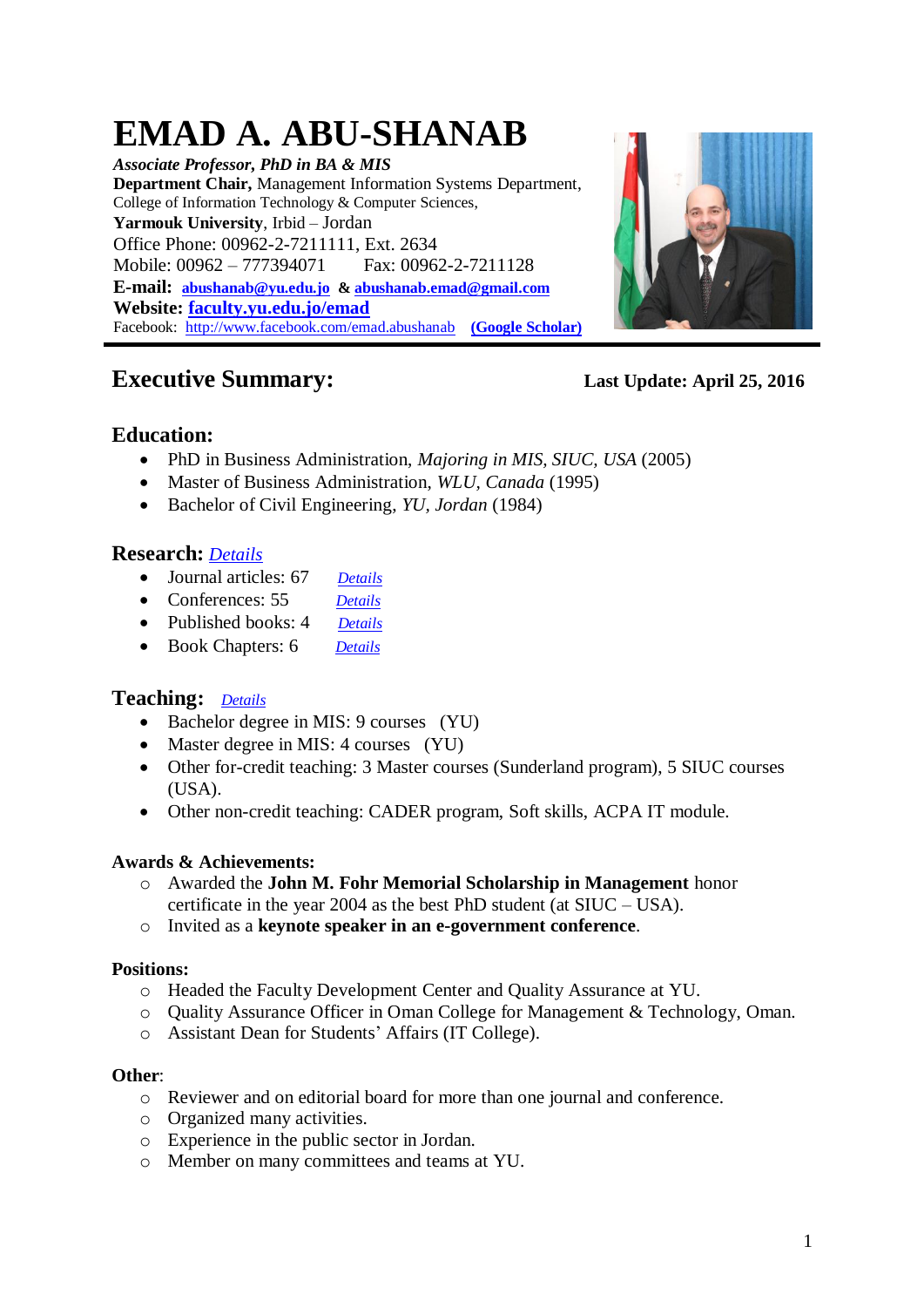# <span id="page-0-0"></span>**EMAD A. ABU-SHANAB**

*Associate Professor, PhD in BA & MIS* **Department Chair,** Management Information Systems Department, College of Information Technology & Computer Sciences, **Yarmouk University**, Irbid – Jordan Office Phone: 00962-2-7211111, Ext. 2634 Mobile: 00962 – 777394071 Fax: 00962-2-7211128 **E-mail: [abushanab@yu.edu.jo](mailto:abushanab@yu.edu.jo) [& abushanab.emad@gmail.com](mailto:abushanab.emad@gmail.com) Website: [faculty.yu.edu.jo/emad](http://faculty.yu.edu.jo/emad/SitePages/Home.aspx)** Facebook:<http://www.facebook.com/emad.abushanab>**[\(Google Scholar\)](http://scholar.google.com/citations?user=nuj1OaYAAAAJ&hl=en)**



# **Executive Summary: Last Update: April 25, 2016**

# **Education:**

- PhD in Business Administration, *Majoring in MIS, SIUC, USA* (2005)
- Master of Business Administration, *WLU, Canada* (1995)
- Bachelor of Civil Engineering, *YU, Jordan* (1984)

# **Research:** *[Details](#page-1-0)*

- Journal articles: 67 *[Details](#page-1-1)*
- Conferences: 55 *[Details](#page-6-0)*
- Published books: 4 *[Details](#page-5-0)*
- Book Chapters: 6 *[Details](#page-5-0)*

# **Teaching:** *[Details](#page-10-0)*

- Bachelor degree in MIS: 9 courses (YU)
- Master degree in MIS: 4 courses (YU)
- Other for-credit teaching: 3 Master courses (Sunderland program), 5 SIUC courses (USA).
- Other non-credit teaching: CADER program, Soft skills, ACPA IT module.

### **Awards & Achievements:**

- o Awarded the **John M. Fohr Memorial Scholarship in Management** honor certificate in the year 2004 as the best PhD student (at SIUC – USA).
- o Invited as a **keynote speaker in an e-government conference**.

### **Positions:**

- o Headed the Faculty Development Center and Quality Assurance at YU.
- o Quality Assurance Officer in Oman College for Management & Technology, Oman.
- o Assistant Dean for Students' Affairs (IT College).

#### **Other**:

- o Reviewer and on editorial board for more than one journal and conference.
- o Organized many activities.
- o Experience in the public sector in Jordan.
- o Member on many committees and teams at YU.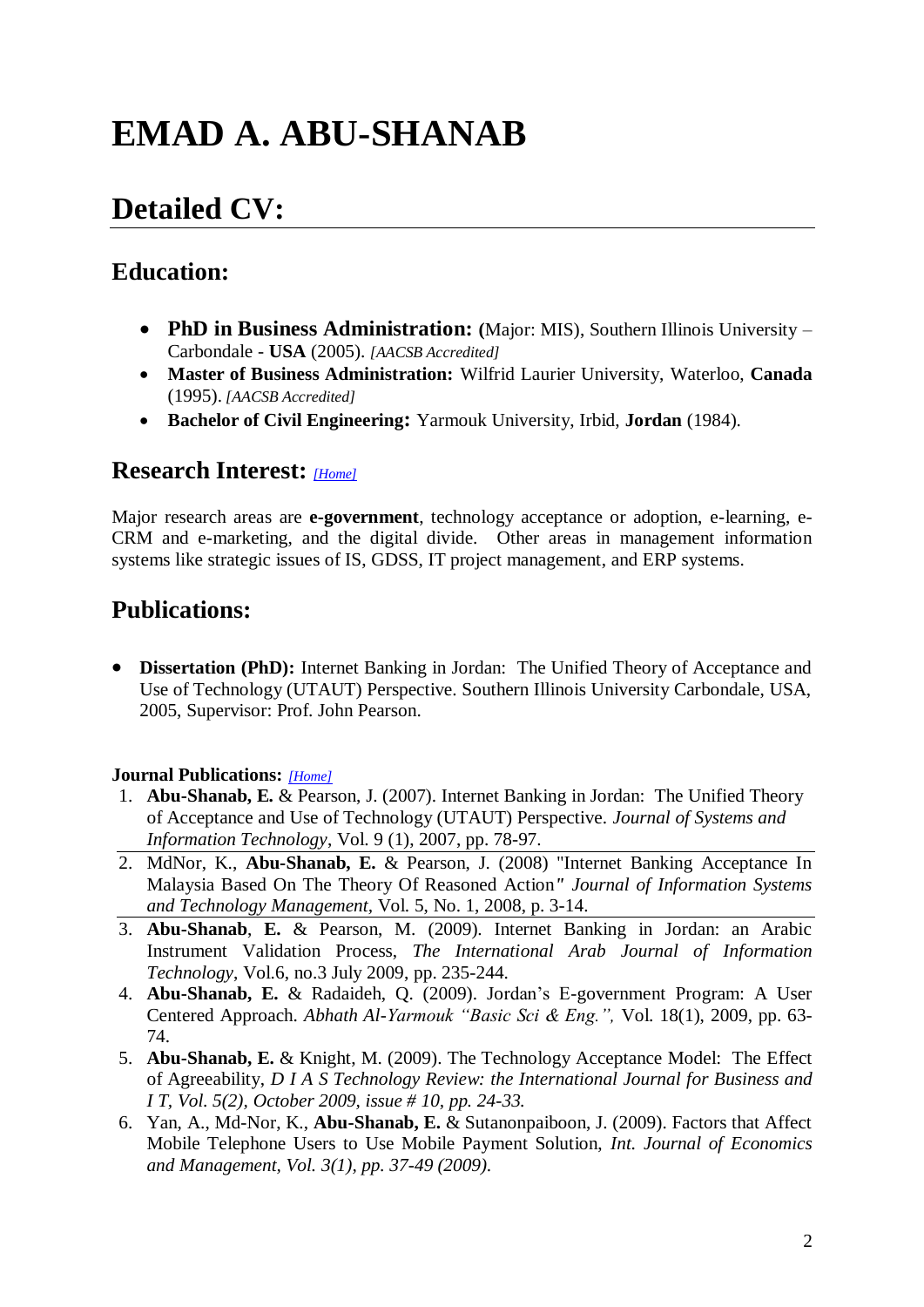# **EMAD A. ABU-SHANAB**

# **Detailed CV:**

# **Education:**

- **PhD in Business Administration: (**Major: MIS), Southern Illinois University Carbondale - **USA** (2005). *[AACSB Accredited]*
- **Master of Business Administration:** Wilfrid Laurier University, Waterloo, **Canada** (1995). *[AACSB Accredited]*
- **Bachelor of Civil Engineering:** Yarmouk University, Irbid, **Jordan** (1984).

# <span id="page-1-0"></span>**Research Interest:** *[\[Home\]](#page-0-0)*

Major research areas are **e-government**, technology acceptance or adoption, e-learning, e-CRM and e-marketing, and the digital divide. Other areas in management information systems like strategic issues of IS, GDSS, IT project management, and ERP systems.

# **Publications:**

 **Dissertation (PhD):** Internet Banking in Jordan: The Unified Theory of Acceptance and Use of Technology (UTAUT) Perspective. Southern Illinois University Carbondale, USA, 2005, Supervisor: Prof. John Pearson.

### <span id="page-1-1"></span>**Journal Publications:** *[\[Home\]](#page-0-0)*

- 1. **Abu-Shanab, E.** & Pearson, J. (2007). Internet Banking in Jordan: The Unified Theory of Acceptance and Use of Technology (UTAUT) Perspective. *Journal of Systems and Information Technology*, Vol. 9 (1), 2007, pp. 78-97.
- 2. MdNor, K., **Abu-Shanab, E.** & Pearson, J. (2008) "Internet Banking Acceptance In Malaysia Based On The Theory Of Reasoned Action*" Journal of Information Systems and Technology Management,* Vol. 5, No. 1, 2008, p. 3-14.
- 3. **Abu-Shanab**, **E.** & Pearson, M. (2009). Internet Banking in Jordan: an Arabic Instrument Validation Process, *The International Arab Journal of Information Technology*, Vol.6, no.3 July 2009, pp. 235-244.
- 4. **Abu-Shanab, E.** & Radaideh, Q. (2009). Jordan's E-government Program: A User Centered Approach. *Abhath Al-Yarmouk "Basic Sci & Eng.",* Vol. 18(1), 2009, pp. 63- 74.
- 5. **Abu-Shanab, E.** & Knight, M. (2009). The Technology Acceptance Model: The Effect of Agreeability, *D I A S Technology Review: the International Journal for Business and I T, Vol. 5(2), October 2009, issue # 10, pp. 24-33.*
- 6. Yan, A., Md-Nor, K., **Abu-Shanab, E.** & Sutanonpaiboon, J. (2009). Factors that Affect Mobile Telephone Users to Use Mobile Payment Solution, *Int. Journal of Economics and Management, Vol. 3(1), pp. 37-49 (2009).*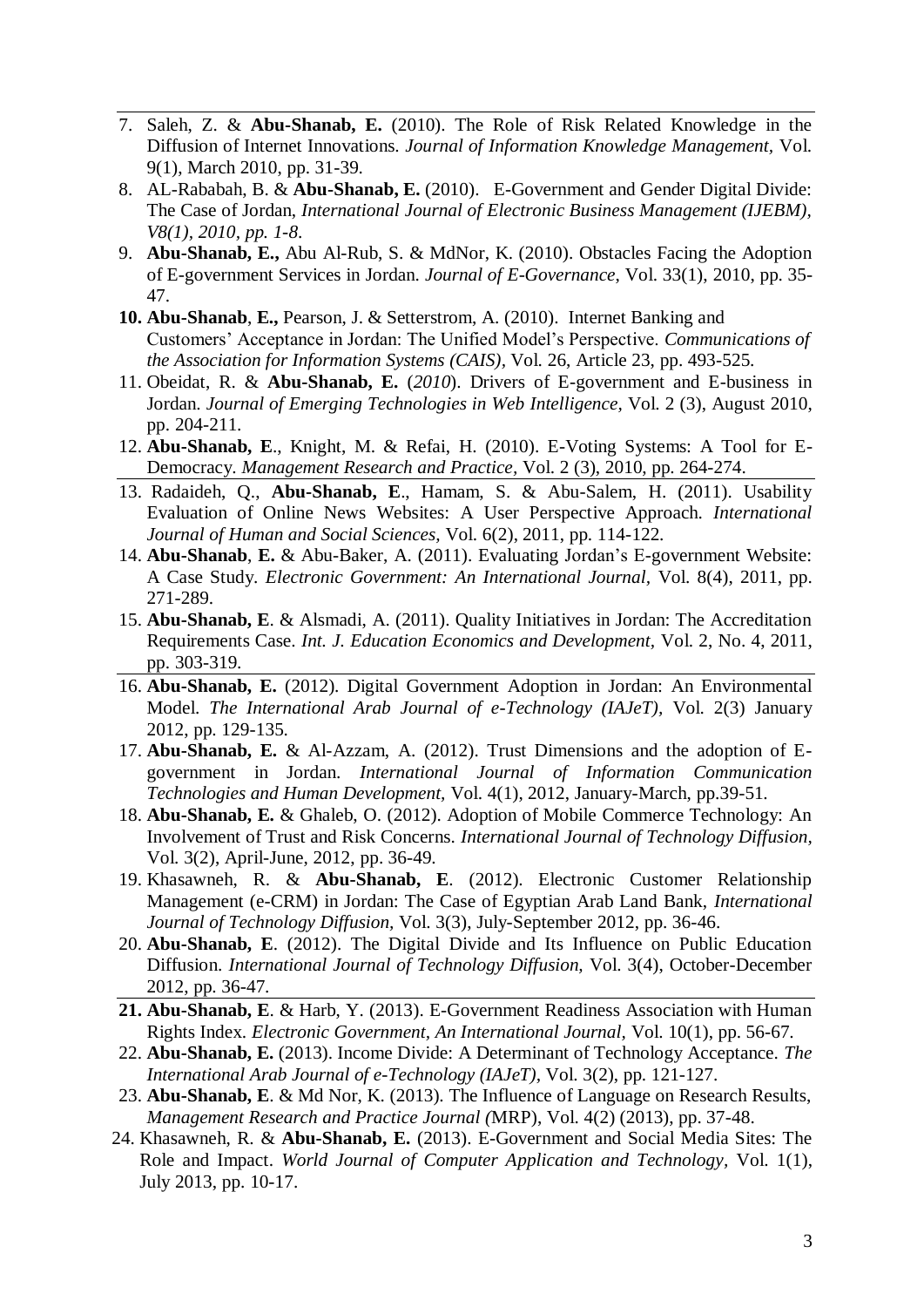- 7. Saleh, Z. & **Abu-Shanab, E.** (2010). The Role of Risk Related Knowledge in the Diffusion of Internet Innovations. *Journal of Information Knowledge Management,* Vol. 9(1), March 2010, pp. 31-39.
- 8. AL-Rababah, B. & **Abu-Shanab, E.** (2010). E-Government and Gender Digital Divide: The Case of Jordan, *International Journal of Electronic Business Management (IJEBM), V8(1), 2010, pp. 1-8*.
- 9. **Abu-Shanab, E.,** Abu Al-Rub, S. & MdNor, K. (2010). Obstacles Facing the Adoption of E-government Services in Jordan. *Journal of E-Governance*, Vol. 33(1), 2010, pp. 35- 47.
- **10. Abu-Shanab**, **E.,** Pearson, J. & Setterstrom, A. (2010). Internet Banking and Customers' Acceptance in Jordan: The Unified Model's Perspective. *Communications of the Association for Information Systems (CAIS),* Vol. 26, Article 23, pp. 493-525.
- 11. Obeidat, R. & **Abu-Shanab, E.** (*2010*). Drivers of E-government and E-business in Jordan. *Journal of Emerging Technologies in Web Intelligence,* Vol. 2 (3), August 2010, pp. 204-211.
- 12. **Abu-Shanab, E**., Knight, M. & Refai, H. (2010). E-Voting Systems: A Tool for E-Democracy. *Management Research and Practice,* Vol. 2 (3), 2010, pp. 264-274.
- 13. Radaideh, Q., **Abu-Shanab, E**., Hamam, S. & Abu-Salem, H. (2011). Usability Evaluation of Online News Websites: A User Perspective Approach. *International Journal of Human and Social Sciences,* Vol. 6(2), 2011, pp. 114-122.
- 14. **Abu-Shanab**, **E.** & Abu-Baker, A. (2011). Evaluating Jordan's E-government Website: A Case Study. *Electronic Government: An International Journal,* Vol. 8(4), 2011, pp. 271-289.
- 15. **Abu-Shanab, E**. & Alsmadi, A. (2011). Quality Initiatives in Jordan: The Accreditation Requirements Case. *Int. J. Education Economics and Development,* Vol. 2, No. 4, 2011, pp. 303-319.
- 16. **Abu-Shanab, E.** (2012). Digital Government Adoption in Jordan: An Environmental Model. *The International Arab Journal of e-Technology (IAJeT),* Vol. 2(3) January 2012, pp. 129-135.
- 17. **Abu-Shanab, E.** & Al-Azzam, A. (2012). Trust Dimensions and the adoption of Egovernment in Jordan. *International Journal of Information Communication Technologies and Human Development,* Vol. 4(1), 2012, January-March, pp.39-51.
- 18. **Abu-Shanab, E.** & Ghaleb, O. (2012). Adoption of Mobile Commerce Technology: An Involvement of Trust and Risk Concerns. *International Journal of Technology Diffusion,*  Vol. 3(2), April-June, 2012, pp. 36-49.
- 19. Khasawneh, R. & **Abu-Shanab, E**. (2012). Electronic Customer Relationship Management (e-CRM) in Jordan: The Case of Egyptian Arab Land Bank, *International Journal of Technology Diffusion,* Vol. 3(3), July-September 2012, pp. 36-46.
- 20. **Abu-Shanab, E**. (2012). The Digital Divide and Its Influence on Public Education Diffusion. *International Journal of Technology Diffusion,* Vol. 3(4), October-December 2012, pp. 36-47.
- **21. Abu-Shanab, E**. & Harb, Y. (2013). E-Government Readiness Association with Human Rights Index. *Electronic Government, An International Journal,* Vol. 10(1), pp. 56-67.
- 22. **Abu-Shanab, E.** (2013). Income Divide: A Determinant of Technology Acceptance. *The International Arab Journal of e-Technology (IAJeT),* Vol. 3(2), pp. 121-127.
- 23. **Abu-Shanab, E**. & Md Nor, K. (2013). The Influence of Language on Research Results, *Management Research and Practice Journal (*MRP), Vol. 4(2) (2013), pp. 37-48.
- 24. Khasawneh, R. & **Abu-Shanab, E.** (2013). E-Government and Social Media Sites: The Role and Impact. *World Journal of Computer Application and Technology,* Vol. 1(1), July 2013, pp. 10-17.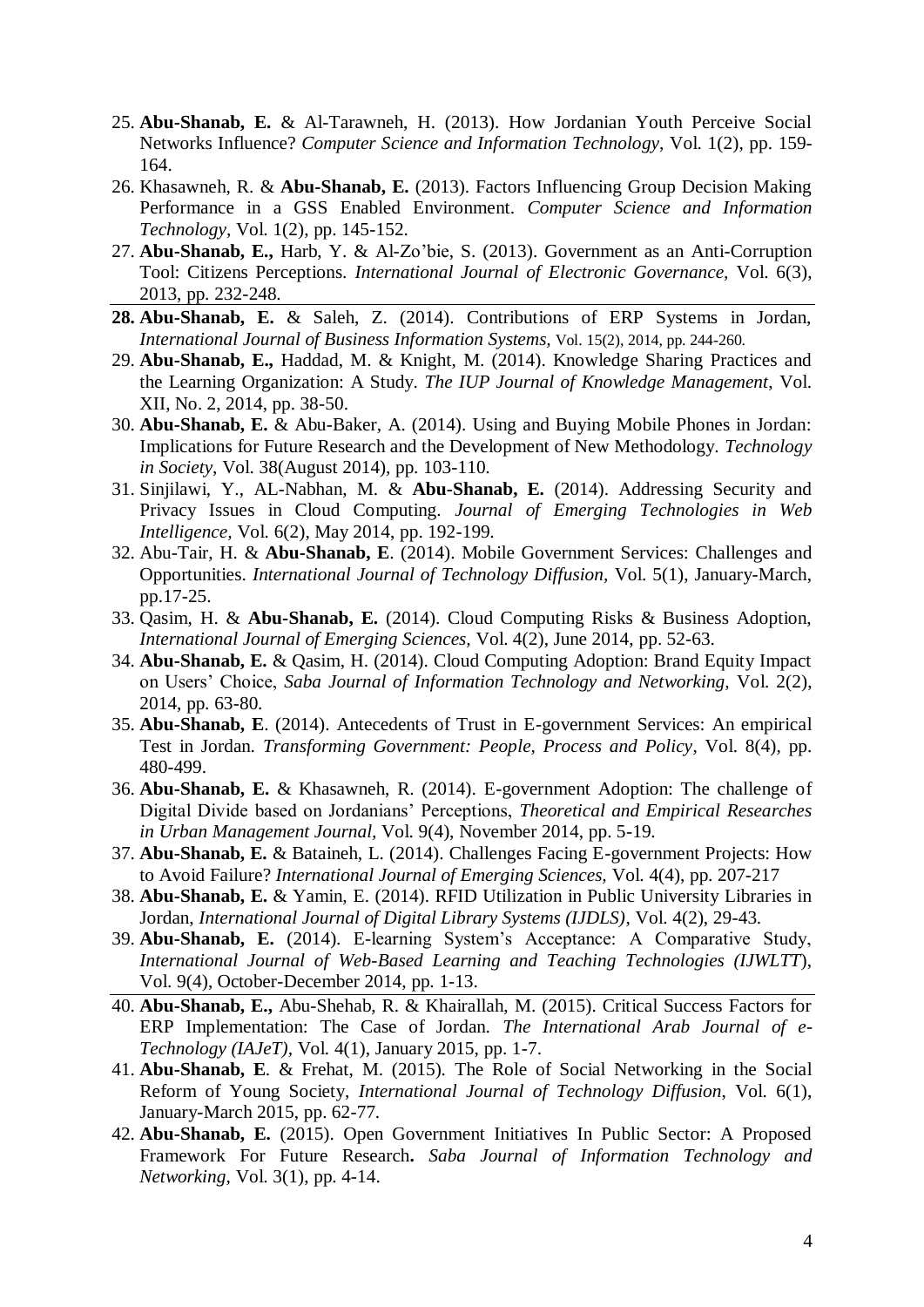- 25. **Abu-Shanab, E.** & Al-Tarawneh, H. (2013). How Jordanian Youth Perceive Social Networks Influence? *Computer Science and Information Technology*, Vol. 1(2), pp. 159- 164.
- 26. Khasawneh, R. & **Abu-Shanab, E.** (2013). Factors Influencing Group Decision Making Performance in a GSS Enabled Environment. *Computer Science and Information Technology,* Vol. 1(2), pp. 145-152.
- 27. **Abu-Shanab, E.,** Harb, Y. & Al-Zo'bie, S. (2013). Government as an Anti-Corruption Tool: Citizens Perceptions. *International Journal of Electronic Governance,* Vol. 6(3), 2013, pp. 232-248.
- **28. Abu-Shanab, E.** & Saleh, Z. (2014). Contributions of ERP Systems in Jordan, *International Journal of Business Information Systems,* Vol. 15(2), 2014, pp. 244-260.
- 29. **Abu-Shanab, E.,** Haddad, M. & Knight, M. (2014). Knowledge Sharing Practices and the Learning Organization: A Study. *The IUP Journal of Knowledge Management*, Vol. XII, No. 2, 2014, pp. 38-50.
- 30. **Abu-Shanab, E.** & Abu-Baker, A. (2014). Using and Buying Mobile Phones in Jordan: Implications for Future Research and the Development of New Methodology. *Technology in Society*, Vol. 38(August 2014), pp. 103-110.
- 31. Sinjilawi, Y., AL-Nabhan, M. & **Abu-Shanab, E.** (2014). Addressing Security and Privacy Issues in Cloud Computing. *Journal of Emerging Technologies in Web Intelligence,* Vol. 6(2), May 2014, pp. 192-199.
- 32. Abu-Tair, H. & **Abu-Shanab, E**. (2014). Mobile Government Services: Challenges and Opportunities. *International Journal of Technology Diffusion,* Vol. 5(1), January-March, pp.17-25.
- 33. Qasim, H. & **Abu-Shanab, E.** (2014). Cloud Computing Risks & Business Adoption, *International Journal of Emerging Sciences,* Vol. 4(2), June 2014, pp. 52-63.
- 34. **Abu-Shanab, E.** & Qasim, H. (2014). Cloud Computing Adoption: Brand Equity Impact on Users' Choice, *Saba Journal of Information Technology and Networking,* Vol. 2(2), 2014, pp. 63-80.
- 35. **Abu-Shanab, E**. (2014). Antecedents of Trust in E-government Services: An empirical Test in Jordan. *Transforming Government: People, Process and Policy*, Vol. 8(4), pp. 480-499.
- 36. **Abu-Shanab, E.** & Khasawneh, R. (2014). E-government Adoption: The challenge of Digital Divide based on Jordanians' Perceptions, *Theoretical and Empirical Researches in Urban Management Journal,* Vol. 9(4), November 2014, pp. 5-19.
- 37. **Abu-Shanab, E.** & Bataineh, L. (2014). Challenges Facing E-government Projects: How to Avoid Failure? *International Journal of Emerging Sciences,* Vol. 4(4), pp. 207-217
- 38. **Abu-Shanab, E.** & Yamin, E. (2014). RFID Utilization in Public University Libraries in Jordan, *International Journal of Digital Library Systems (IJDLS)*, Vol. 4(2), 29-43.
- 39. **Abu-Shanab, E.** (2014). E-learning System's Acceptance: A Comparative Study, *International Journal of Web-Based Learning and Teaching Technologies (IJWLTT*), Vol. 9(4), October-December 2014, pp. 1-13.
- 40. **Abu-Shanab, E.,** Abu-Shehab, R. & Khairallah, M. (2015). Critical Success Factors for ERP Implementation: The Case of Jordan. *The International Arab Journal of e-Technology (IAJeT),* Vol. 4(1), January 2015, pp. 1-7.
- 41. **Abu-Shanab, E**. & Frehat, M. (2015). The Role of Social Networking in the Social Reform of Young Society, *International Journal of Technology Diffusion*, Vol. 6(1), January-March 2015, pp. 62-77.
- 42. **Abu-Shanab, E.** (2015). Open Government Initiatives In Public Sector: A Proposed Framework For Future Research**.** *Saba Journal of Information Technology and Networking,* Vol. 3(1), pp. 4-14.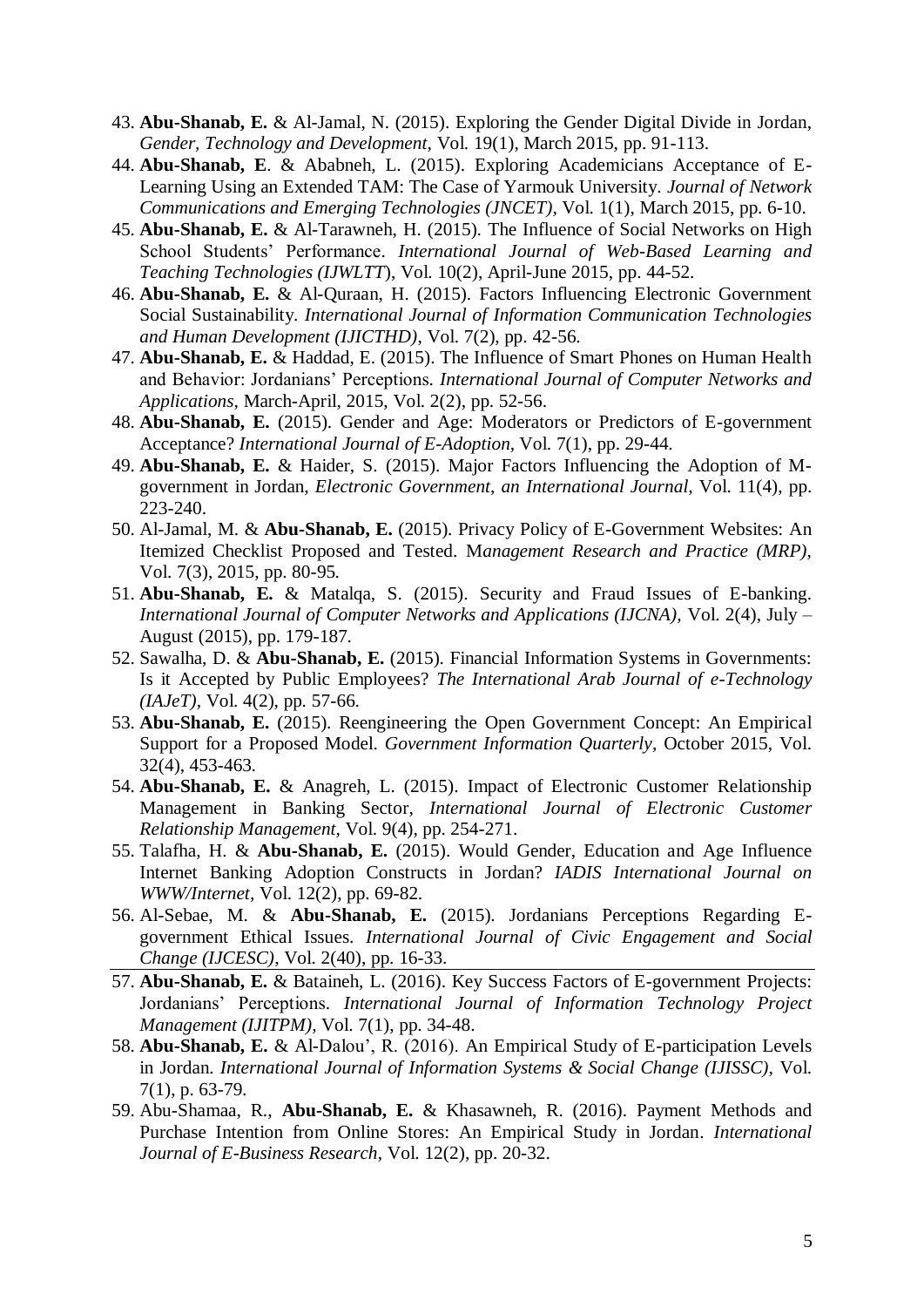- 43. **Abu-Shanab, E.** & Al-Jamal, N. (2015). Exploring the Gender Digital Divide in Jordan, *Gender, Technology and Development,* Vol. 19(1), March 2015, pp. 91-113.
- 44. **Abu-Shanab, E**. & Ababneh, L. (2015). Exploring Academicians Acceptance of E-Learning Using an Extended TAM: The Case of Yarmouk University. *Journal of Network Communications and Emerging Technologies (JNCET),* Vol. 1(1), March 2015, pp. 6-10.
- 45. **Abu-Shanab, E.** & Al-Tarawneh, H. (2015). The Influence of Social Networks on High School Students' Performance. *International Journal of Web-Based Learning and Teaching Technologies (IJWLTT*), Vol. 10(2), April-June 2015, pp. 44-52.
- 46. **Abu-Shanab, E.** & Al-Quraan, H. (2015). Factors Influencing Electronic Government Social Sustainability. *International Journal of Information Communication Technologies and Human Development (IJICTHD)*, Vol. 7(2), pp. 42-56.
- 47. **Abu-Shanab, E.** & Haddad, E. (2015). The Influence of Smart Phones on Human Health and Behavior: Jordanians' Perceptions*. International Journal of Computer Networks and Applications*, March-April, 2015, Vol. 2(2), pp. 52-56.
- 48. **Abu-Shanab, E.** (2015). Gender and Age: Moderators or Predictors of E-government Acceptance? *International Journal of E-Adoption,* Vol. 7(1), pp. 29-44.
- 49. **Abu-Shanab, E.** & Haider, S. (2015). Major Factors Influencing the Adoption of Mgovernment in Jordan, *Electronic Government, an International Journal,* Vol. 11(4), pp. 223-240.
- 50. Al-Jamal, M. & **Abu-Shanab, E.** (2015). Privacy Policy of E-Government Websites: An Itemized Checklist Proposed and Tested. M*anagement Research and Practice (MRP),* Vol. 7(3), 2015, pp. 80-95*.*
- 51. **Abu-Shanab, E.** & Matalqa, S. (2015). Security and Fraud Issues of E-banking. *International Journal of Computer Networks and Applications (IJCNA),* Vol. 2(4), July – August (2015), pp. 179-187.
- 52. Sawalha, D. & **Abu-Shanab, E.** (2015). Financial Information Systems in Governments: Is it Accepted by Public Employees? *The International Arab Journal of e-Technology (IAJeT),* Vol. 4(2), pp. 57-66.
- 53. **Abu-Shanab, E.** (2015). Reengineering the Open Government Concept: An Empirical Support for a Proposed Model. *Government Information Quarterly*, October 2015, Vol. 32(4), 453-463.
- 54. **Abu-Shanab, E.** & Anagreh, L. (2015). Impact of Electronic Customer Relationship Management in Banking Sector, *International Journal of Electronic Customer Relationship Management,* Vol. 9(4), pp. 254-271.
- 55. Talafha, H. & **Abu-Shanab, E.** (2015). Would Gender, Education and Age Influence Internet Banking Adoption Constructs in Jordan? *IADIS International Journal on WWW/Internet,* Vol. 12(2), pp. 69-82.
- 56. Al-Sebae, M. & **Abu-Shanab, E.** (2015). Jordanians Perceptions Regarding Egovernment Ethical Issues. *International Journal of Civic Engagement and Social Change (IJCESC)*, Vol. 2(40), pp. 16-33.
- 57. **Abu-Shanab, E.** & Bataineh, L. (2016). Key Success Factors of E-government Projects: Jordanians' Perceptions. *International Journal of Information Technology Project Management (IJITPM),* Vol. 7(1), pp. 34-48.
- 58. **Abu-Shanab, E.** & Al-Dalou', R. (2016). An Empirical Study of E-participation Levels in Jordan. *International Journal of Information Systems & Social Change (IJISSC),* Vol. 7(1), p. 63-79.
- 59. Abu-Shamaa, R., **Abu-Shanab, E.** & Khasawneh, R. (2016). Payment Methods and Purchase Intention from Online Stores: An Empirical Study in Jordan. *International Journal of E-Business Research*, Vol. 12(2), pp. 20-32.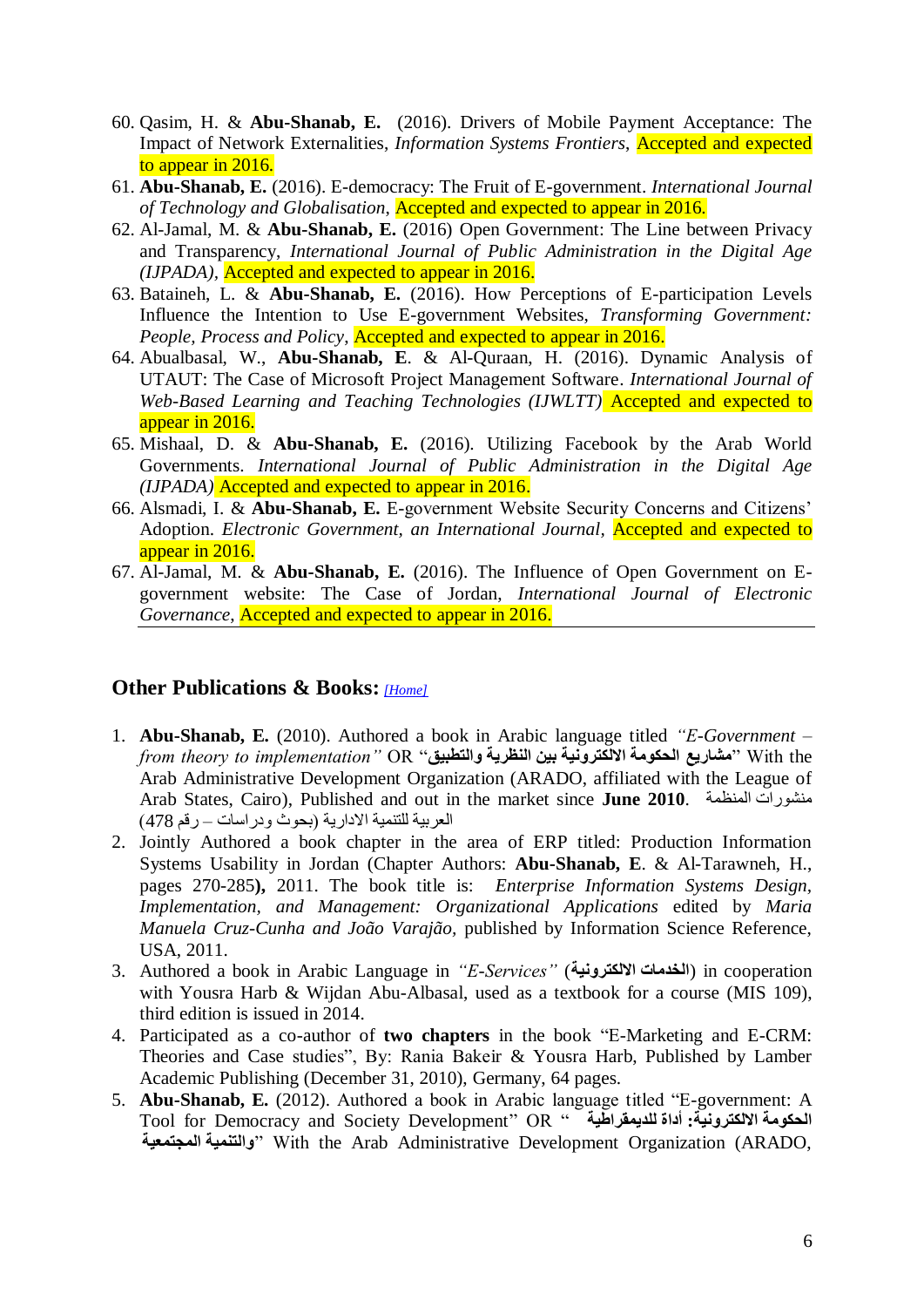- 60. Qasim, H. & **Abu-Shanab, E.** (2016). Drivers of Mobile Payment Acceptance: The Impact of Network Externalities, *Information Systems Frontiers*, Accepted and expected to appear in 2016*.*
- 61. **Abu-Shanab, E.** (2016). E-democracy: The Fruit of E-government. *International Journal of Technology and Globalisation*, Accepted and expected to appear in 2016*.*
- 62. Al-Jamal, M. & **Abu-Shanab, E.** (2016) Open Government: The Line between Privacy and Transparency, *International Journal of Public Administration in the Digital Age (IJPADA),* Accepted and expected to appear in 2016.
- 63. Bataineh, L. & **Abu-Shanab, E.** (2016). How Perceptions of E-participation Levels Influence the Intention to Use E-government Websites, *Transforming Government: People, Process and Policy*, Accepted and expected to appear in 2016.
- 64. Abualbasal, W., **Abu-Shanab, E**. & Al-Quraan, H. (2016). Dynamic Analysis of UTAUT: The Case of Microsoft Project Management Software. *International Journal of Web-Based Learning and Teaching Technologies (IJWLTT)* Accepted and expected to appear in 2016.
- 65. Mishaal, D. & **Abu-Shanab, E.** (2016). Utilizing Facebook by the Arab World Governments. *International Journal of Public Administration in the Digital Age (IJPADA)* Accepted and expected to appear in 2016.
- 66. Alsmadi, I. & **Abu-Shanab, E.** E-government Website Security Concerns and Citizens' Adoption. *Electronic Government, an International Journal,* Accepted and expected to appear in 2016.
- 67. Al-Jamal, M. & **Abu-Shanab, E.** (2016). The Influence of Open Government on Egovernment website: The Case of Jordan, *International Journal of Electronic Governance*, Accepted and expected to appear in 2016.

#### <span id="page-5-0"></span>**Other Publications & Books:** *[\[Home\]](#page-0-0)*

- 1. **Abu-Shanab, E.** (2010). Authored a book in Arabic language titled *"E-Government – from theory to implementation"* OR "**والتطبيق النظريت بين االلكترونيت الحكومت مشاريع** "With the Arab Administrative Development Organization (ARADO, affiliated with the League of Arab States, Cairo), Published and out in the market since **June 2010**. المنظمة منشىرات العربية للتنمية الادارية (بحوث ودراسات – رقم 478)
- 2. Jointly Authored a book chapter in the area of ERP titled: Production Information Systems Usability in Jordan (Chapter Authors: **Abu-Shanab, E**. & Al-Tarawneh, H., pages 270-285**),** 2011. The book title is: *Enterprise Information Systems Design, Implementation, and Management: Organizational Applications* edited by *Maria Manuela Cruz-Cunha and João Varajão,* published by Information Science Reference, USA, 2011.
- 3. Authored a book in Arabic Language in *"E-Services"* (**االلكترونيت الخذماث** (in cooperation with Yousra Harb & Wijdan Abu-Albasal, used as a textbook for a course (MIS 109), third edition is issued in 2014.
- 4. Participated as a co-author of **two chapters** in the book "E-Marketing and E-CRM: Theories and Case studies", By: Rania Bakeir & Yousra Harb, Published by Lamber Academic Publishing (December 31, 2010), Germany, 64 pages.
- 5. **Abu-Shanab, E.** (2012). Authored a book in Arabic language titled "E-government: A Tool for Democracy and Society Development" OR " **للذيمقراطيت أداة :االلكترونيت الحكومت المجتمعيت والتنميت** "With the Arab Administrative Development Organization (ARADO,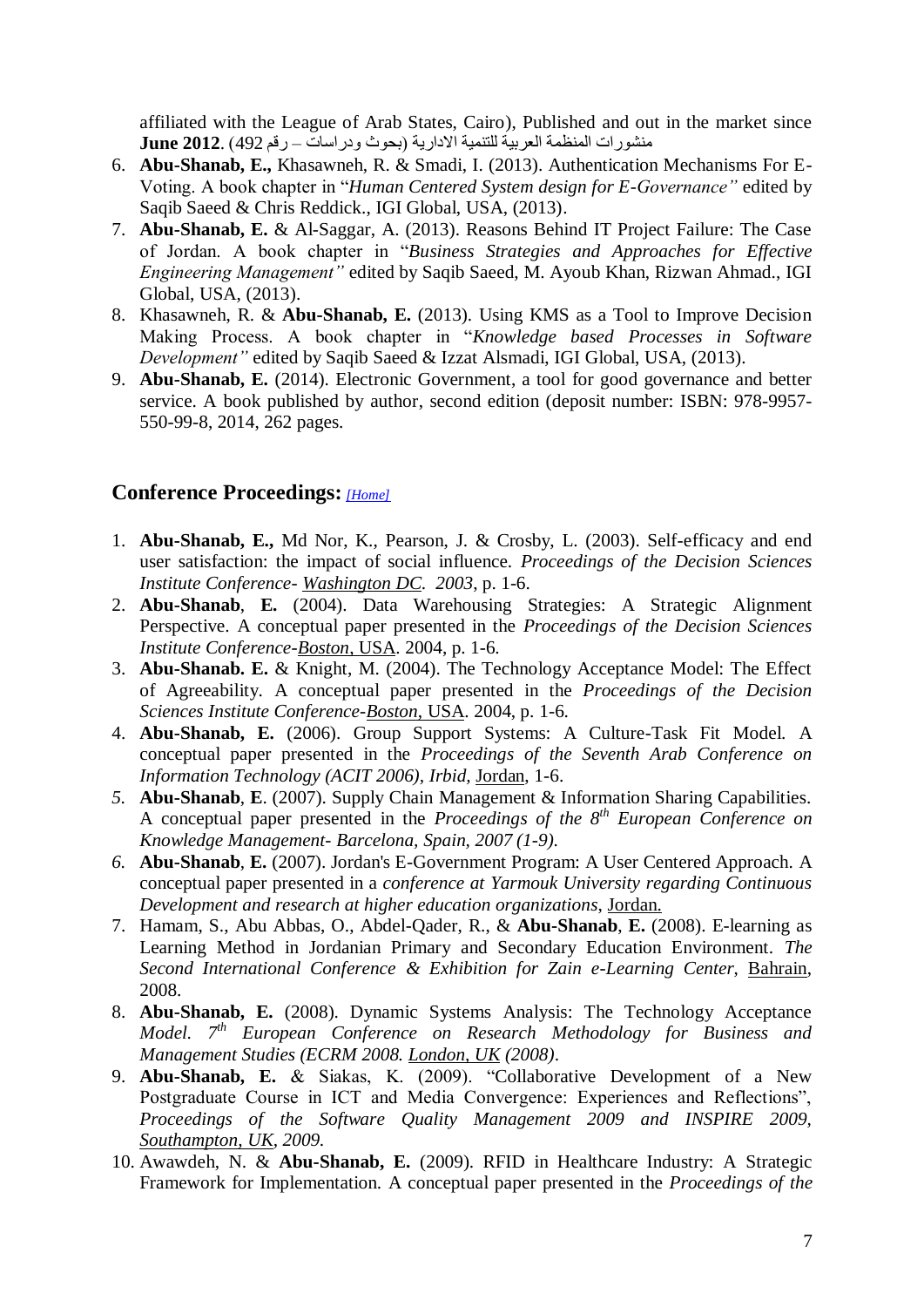affiliated with the League of Arab States, Cairo), Published and out in the market since منشىرات المنظمة العربية للتنمية االدارية )بحىث ودراسات – رقم 492( **2012**. **June**

- 6. **Abu-Shanab, E.,** Khasawneh, R. & Smadi, I. (2013). Authentication Mechanisms For E-Voting. A book chapter in "*Human Centered System design for E-Governance"* edited by Saqib Saeed & Chris Reddick., IGI Global, USA, (2013).
- 7. **Abu-Shanab, E.** & Al-Saggar, A. (2013). Reasons Behind IT Project Failure: The Case of Jordan. A book chapter in "*Business Strategies and Approaches for Effective Engineering Management"* edited by Saqib Saeed, M. Ayoub Khan, Rizwan Ahmad., IGI Global, USA, (2013).
- 8. Khasawneh, R. & **Abu-Shanab, E.** (2013). Using KMS as a Tool to Improve Decision Making Process. A book chapter in "*Knowledge based Processes in Software Development"* edited by Saqib Saeed & Izzat Alsmadi, IGI Global, USA, (2013).
- 9. **Abu-Shanab, E.** (2014). Electronic Government, a tool for good governance and better service. A book published by author, second edition (deposit number: ISBN: 978-9957- 550-99-8, 2014, 262 pages.

#### <span id="page-6-0"></span>**Conference Proceedings:** *[\[Home\]](#page-0-0)*

- 1. **Abu-Shanab, E.,** Md Nor, K., Pearson, J. & Crosby, L. (2003). Self-efficacy and end user satisfaction: the impact of social influence. *Proceedings of the Decision Sciences Institute Conference- Washington DC. 2003*, p. 1-6.
- 2. **Abu-Shanab**, **E.** (2004). Data Warehousing Strategies: A Strategic Alignment Perspective. A conceptual paper presented in the *Proceedings of the Decision Sciences Institute Conference-Boston*, USA. 2004, p. 1-6.
- 3. **Abu-Shanab. E.** & Knight, M. (2004). The Technology Acceptance Model: The Effect of Agreeability. A conceptual paper presented in the *Proceedings of the Decision Sciences Institute Conference-Boston*, USA. 2004, p. 1-6.
- 4. **Abu-Shanab, E.** (2006). Group Support Systems: A Culture-Task Fit Model. A conceptual paper presented in the *Proceedings of the Seventh Arab Conference on Information Technology (ACIT 2006), Irbid,* Jordan, 1-6.
- *5.* **Abu-Shanab**, **E**. (2007). Supply Chain Management & Information Sharing Capabilities. A conceptual paper presented in the *Proceedings of the 8th European Conference on Knowledge Management- Barcelona, Spain, 2007 (1-9).*
- *6.* **Abu-Shanab**, **E.** (2007). Jordan's E-Government Program: A User Centered Approach*.* A conceptual paper presented in a *conference at Yarmouk University regarding Continuous Development and research at higher education organizations*, Jordan.
- 7. Hamam, S., Abu Abbas, O., Abdel-Qader, R., & **Abu-Shanab**, **E.** (2008). E-learning as Learning Method in Jordanian Primary and Secondary Education Environment. *The Second International Conference & Exhibition for Zain e-Learning Center*, Bahrain, 2008.
- 8. **Abu-Shanab, E.** (2008). Dynamic Systems Analysis: The Technology Acceptance *Model. 7th European Conference on Research Methodology for Business and Management Studies (ECRM 2008. London, UK (2008)*.
- 9. **Abu-Shanab, E.** & Siakas, K. (2009). "Collaborative Development of a New Postgraduate Course in ICT and Media Convergence: Experiences and Reflections", *Proceedings of the Software Quality Management 2009 and INSPIRE 2009, Southampton, UK, 2009.*
- 10. Awawdeh, N. & **Abu-Shanab, E.** (2009). RFID in Healthcare Industry: A Strategic Framework for Implementation. A conceptual paper presented in the *Proceedings of the*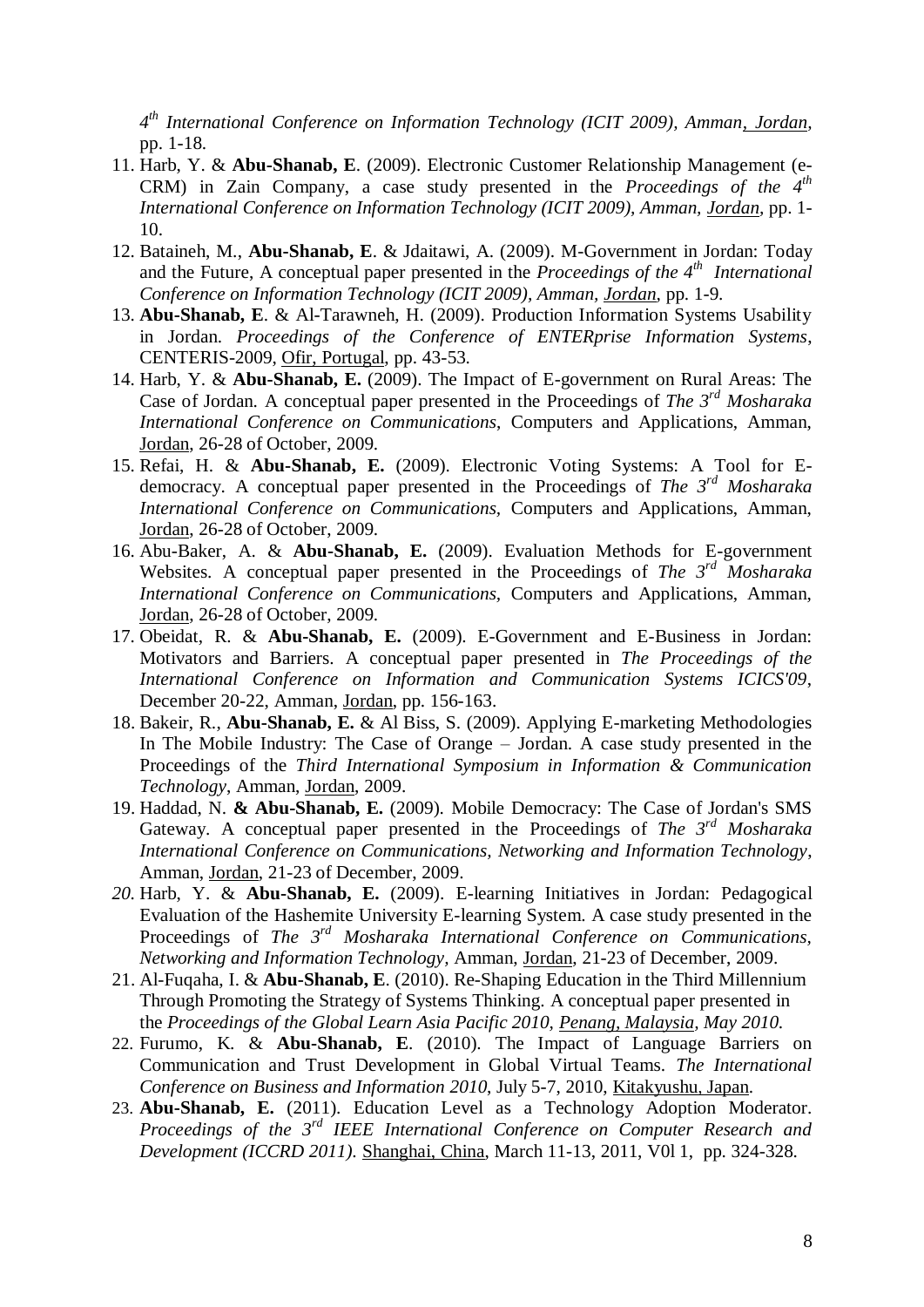*4 th International Conference on Information Technology (ICIT 2009), Amman, Jordan,*  pp. 1-18.

- 11. Harb, Y. & **Abu-Shanab, E**. (2009). Electronic Customer Relationship Management (e-CRM) in Zain Company, a case study presented in the *Proceedings of the*  $4<sup>th</sup>$ *International Conference on Information Technology (ICIT 2009), Amman, Jordan,* pp. 1- 10.
- 12. Bataineh, M., **Abu-Shanab, E**. & Jdaitawi, A. (2009). M-Government in Jordan: Today and the Future, A conceptual paper presented in the *Proceedings of the 4<sup>th</sup>* International *Conference on Information Technology (ICIT 2009), Amman, Jordan,* pp. 1-9.
- 13. **Abu-Shanab, E**. & Al-Tarawneh, H. (2009). Production Information Systems Usability in Jordan. *Proceedings of the Conference of ENTERprise Information Systems*, CENTERIS-2009, Ofir, Portugal, pp. 43-53.
- 14. Harb, Y. & **Abu-Shanab, E.** (2009). The Impact of E-government on Rural Areas: The Case of Jordan. A conceptual paper presented in the Proceedings of *The 3rd Mosharaka International Conference on Communications*, Computers and Applications, Amman, Jordan, 26-28 of October, 2009.
- 15. Refai, H. & **Abu-Shanab, E.** (2009). Electronic Voting Systems: A Tool for Edemocracy. A conceptual paper presented in the Proceedings of *The 3rd Mosharaka International Conference on Communications,* Computers and Applications, Amman, Jordan, 26-28 of October, 2009.
- 16. Abu-Baker, A. & **Abu-Shanab, E.** (2009). Evaluation Methods for E-government Websites. A conceptual paper presented in the Proceedings of *The 3rd Mosharaka International Conference on Communications,* Computers and Applications, Amman, Jordan, 26-28 of October, 2009.
- 17. Obeidat, R. & **Abu-Shanab, E.** (2009). E-Government and E-Business in Jordan: Motivators and Barriers. A conceptual paper presented in *The Proceedings of the International Conference on Information and Communication Systems ICICS'09*, December 20-22, Amman, Jordan, pp. 156-163.
- 18. Bakeir, R., **Abu-Shanab, E.** & Al Biss, S. (2009). Applying E-marketing Methodologies In The Mobile Industry: The Case of Orange – Jordan. A case study presented in the Proceedings of the *Third International Symposium in Information & Communication Technology*, Amman, Jordan, 2009.
- 19. Haddad, N. **& Abu-Shanab, E.** (2009). Mobile Democracy: The Case of Jordan's SMS Gateway. A conceptual paper presented in the Proceedings of *The 3rd Mosharaka International Conference on Communications, Networking and Information Technology*, Amman, Jordan, 21-23 of December, 2009.
- *20.* Harb, Y. & **Abu-Shanab, E.** (2009). E-learning Initiatives in Jordan: Pedagogical Evaluation of the Hashemite University E-learning System. A case study presented in the Proceedings of *The 3rd Mosharaka International Conference on Communications, Networking and Information Technology,* Amman, Jordan, 21-23 of December, 2009.
- 21. Al-Fuqaha, I. & **Abu-Shanab, E**. (2010). Re-Shaping Education in the Third Millennium Through Promoting the Strategy of Systems Thinking. A conceptual paper presented in the *Proceedings of the Global Learn Asia Pacific 2010, Penang, Malaysia, May 2010.*
- 22. Furumo, K. & **Abu-Shanab, E**. (2010). The Impact of Language Barriers on Communication and Trust Development in Global Virtual Teams. *The International Conference on Business and Information 2010*, July 5-7, 2010, Kitakyushu, Japan.
- 23. **Abu-Shanab, E.** (2011). Education Level as a Technology Adoption Moderator. *Proceedings of the 3rd IEEE International Conference on Computer Research and Development (ICCRD 2011).* Shanghai, China, March 11-13, 2011, V0l 1, pp. 324-328.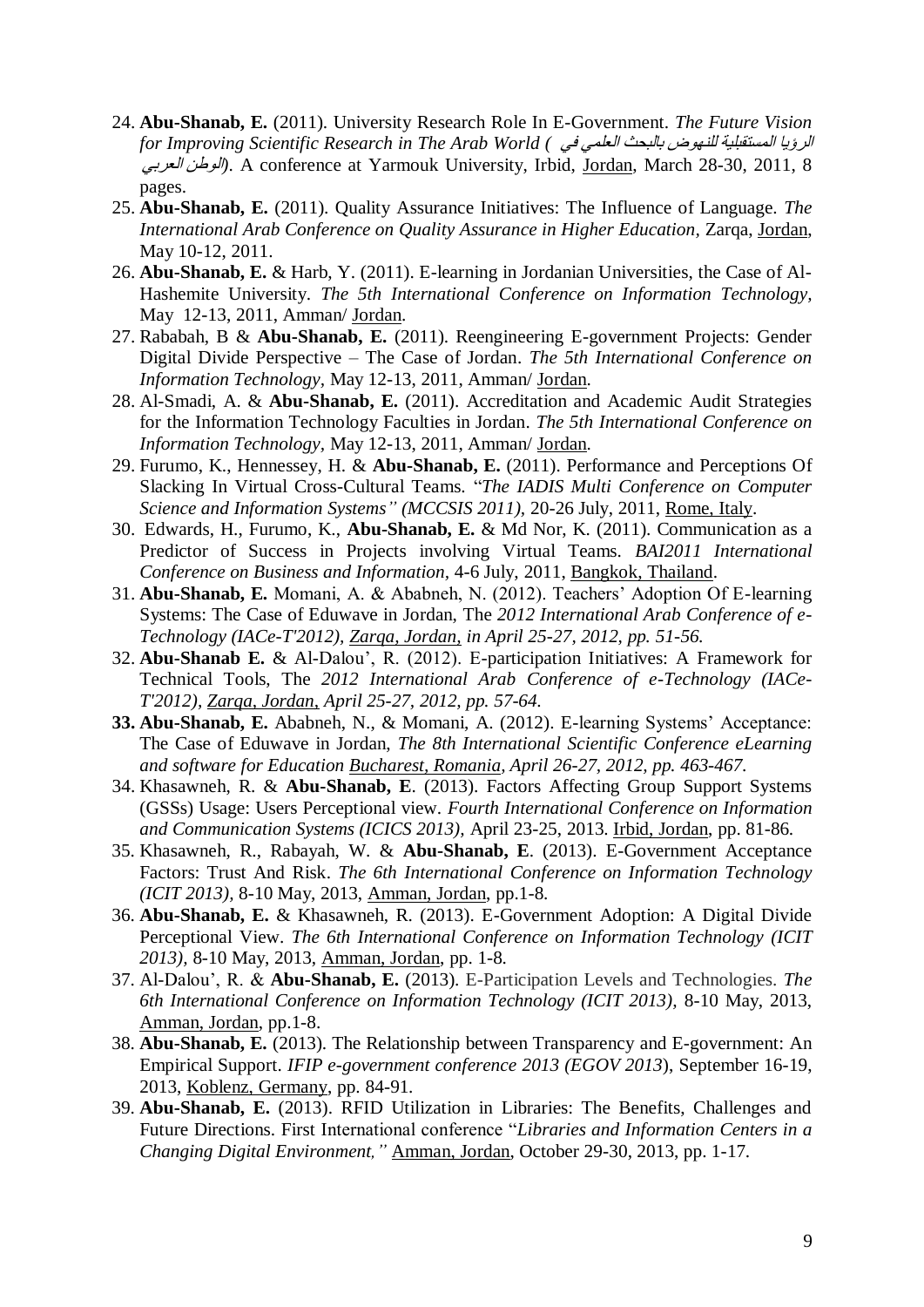- 24. **Abu-Shanab, E.** (2011). University Research Role In E-Government. *The Future Vision for Improving Scientific Research in The Arab World (* في العلمي بالبحج للنهىض المستقبلية الرؤيا العربي الىطن*(*. A conference at Yarmouk University, Irbid, Jordan, March 28-30, 2011, 8 pages.
- 25. **Abu-Shanab, E.** (2011). Quality Assurance Initiatives: The Influence of Language. *The International Arab Conference on Quality Assurance in Higher Education,* Zarqa, Jordan, May 10-12, 2011.
- 26. **Abu-Shanab, E.** & Harb, Y. (2011). E-learning in Jordanian Universities, the Case of Al-Hashemite University. *The 5th International Conference on Information Technology,* May 12-13, 2011, Amman/ Jordan.
- 27. Rababah, B & **Abu-Shanab, E.** (2011). Reengineering E-government Projects: Gender Digital Divide Perspective – The Case of Jordan. *The 5th International Conference on Information Technology,* May 12-13, 2011, Amman/ Jordan.
- 28. Al-Smadi, A. & **Abu-Shanab, E.** (2011). Accreditation and Academic Audit Strategies for the Information Technology Faculties in Jordan. *The 5th International Conference on Information Technology,* May 12-13, 2011, Amman/ Jordan.
- 29. Furumo, K., Hennessey, H. & **Abu-Shanab, E.** (2011). Performance and Perceptions Of Slacking In Virtual Cross-Cultural Teams. "*The IADIS Multi Conference on Computer Science and Information Systems" (MCCSIS 2011),* 20-26 July, 2011, Rome, Italy.
- 30. Edwards, H., Furumo, K., **Abu-Shanab, E.** & Md Nor, K. (2011). Communication as a Predictor of Success in Projects involving Virtual Teams. *BAI2011 International Conference on Business and Information,* 4-6 July, 2011, Bangkok, Thailand.
- 31. **Abu-Shanab, E.** Momani, A. & Ababneh, N. (2012). Teachers' Adoption Of E-learning Systems: The Case of Eduwave in Jordan, The *2012 International Arab Conference of e-Technology (IACe-T'2012), Zarqa, Jordan, in April 25-27, 2012, pp. 51-56.*
- 32. **Abu-Shanab E.** & Al-Dalou', R. (2012). E-participation Initiatives: A Framework for Technical Tools, The *2012 International Arab Conference of e-Technology (IACe-T'2012), Zarqa, Jordan, April 25-27, 2012, pp. 57-64.*
- **33. Abu-Shanab, E.** Ababneh, N., & Momani, A. (2012). E-learning Systems' Acceptance: The Case of Eduwave in Jordan, *The 8th International Scientific Conference eLearning and software for Education Bucharest, Romania, April 26-27, 2012, pp. 463-467.*
- 34. Khasawneh, R. & **Abu-Shanab, E**. (2013). Factors Affecting Group Support Systems (GSSs) Usage: Users Perceptional view. *Fourth International Conference on Information and Communication Systems (ICICS 2013),* April 23-25, 2013. Irbid, Jordan, pp. 81-86.
- 35. Khasawneh, R., Rabayah, W. & **Abu-Shanab, E**. (2013). E-Government Acceptance Factors: Trust And Risk. *The 6th International Conference on Information Technology (ICIT 2013),* 8-10 May, 2013, Amman, Jordan, pp.1-8*.*
- 36. **Abu-Shanab, E.** & Khasawneh, R. (2013). E-Government Adoption: A Digital Divide Perceptional View. *The 6th International Conference on Information Technology (ICIT 2013),* 8-10 May, 2013, Amman, Jordan, pp. 1-8*.*
- 37. Al-Dalou', R. & **Abu-Shanab, E.** (2013). E-Participation Levels and Technologies. *The 6th International Conference on Information Technology (ICIT 2013),* 8-10 May, 2013, Amman, Jordan, pp.1-8.
- 38. **Abu-Shanab, E.** (2013). The Relationship between Transparency and E-government: An Empirical Support. *IFIP e-government conference 2013 (EGOV 2013*), September 16-19, 2013, Koblenz, Germany, pp. 84-91.
- 39. **Abu-Shanab, E.** (2013). RFID Utilization in Libraries: The Benefits, Challenges and Future Directions. First International conference "*Libraries and Information Centers in a Changing Digital Environment,"* Amman, Jordan, October 29-30, 2013, pp. 1-17.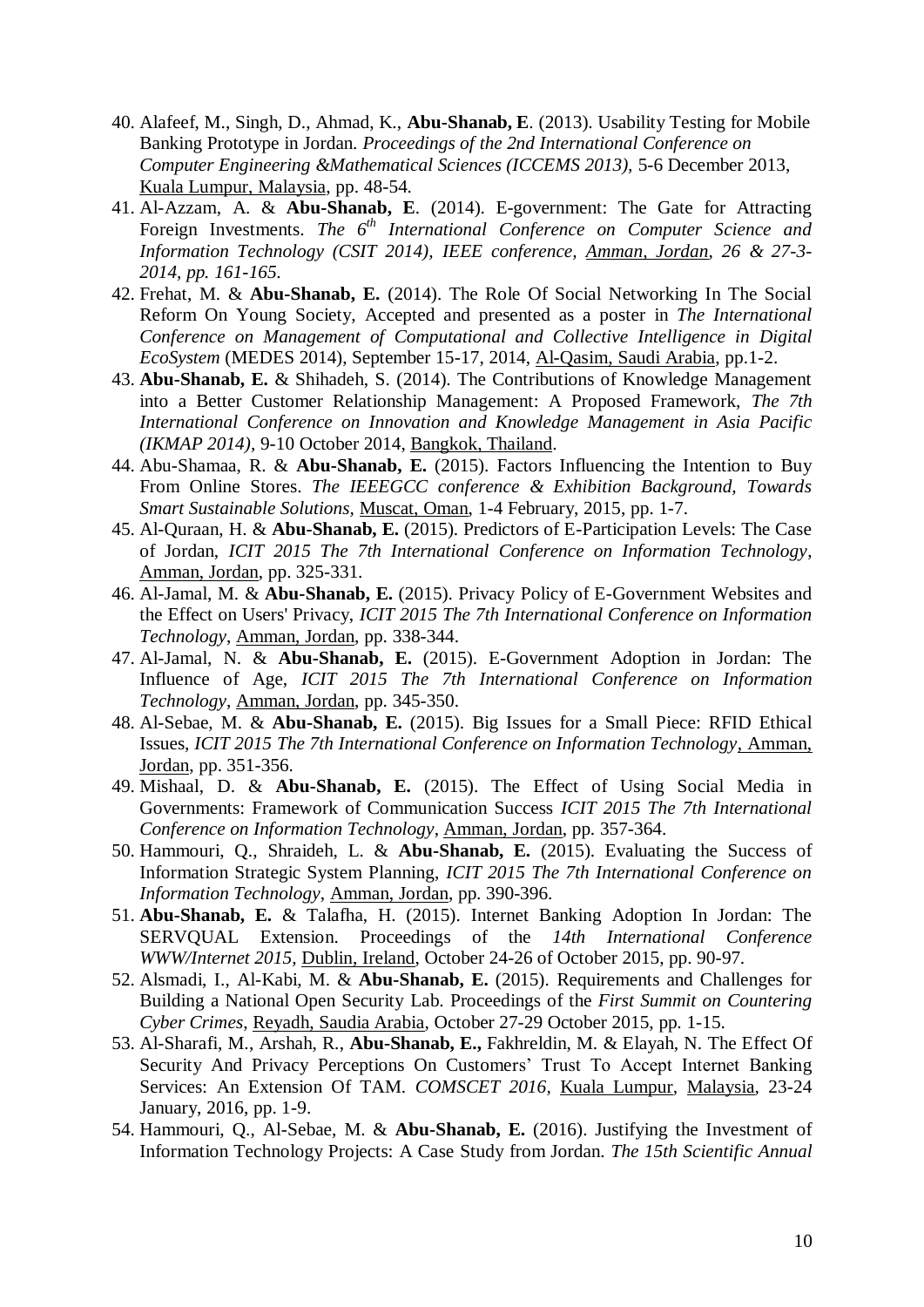- 40. Alafeef, M., Singh, D., Ahmad, K., **Abu-Shanab, E**. (2013). Usability Testing for Mobile Banking Prototype in Jordan. *Proceedings of the 2nd International Conference on Computer Engineering &Mathematical Sciences (ICCEMS 2013),* 5-6 December 2013, Kuala Lumpur, Malaysia, pp. 48-54.
- 41. Al-Azzam, A. & **Abu-Shanab, E**. (2014). E-government: The Gate for Attracting Foreign Investments. *The 6th International Conference on Computer Science and Information Technology (CSIT 2014), IEEE conference, Amman, Jordan, 26 & 27-3- 2014, pp. 161-165*.
- 42. Frehat, M. & **Abu-Shanab, E.** (2014). The Role Of Social Networking In The Social Reform On Young Society, Accepted and presented as a poster in *The International Conference on Management of Computational and Collective Intelligence in Digital EcoSystem* (MEDES 2014), September 15-17, 2014, Al-Qasim, Saudi Arabia, pp.1-2.
- 43. **Abu-Shanab, E.** & Shihadeh, S. (2014). The Contributions of Knowledge Management into a Better Customer Relationship Management: A Proposed Framework, *The 7th International Conference on Innovation and Knowledge Management in Asia Pacific (IKMAP 2014),* 9-10 October 2014, Bangkok, Thailand.
- 44. Abu-Shamaa, R. & **Abu-Shanab, E.** (2015). Factors Influencing the Intention to Buy From Online Stores. *The IEEEGCC conference & Exhibition Background, Towards Smart Sustainable Solutions,* Muscat, Oman, 1-4 February, 2015, pp. 1-7.
- 45. Al-Quraan, H. & **Abu-Shanab, E.** (2015). Predictors of E-Participation Levels: The Case of Jordan, *ICIT 2015 The 7th International Conference on Information Technology*, Amman, Jordan, pp. 325-331.
- 46. Al-Jamal, M. & **Abu-Shanab, E.** (2015). Privacy Policy of E-Government Websites and the Effect on Users' Privacy, *ICIT 2015 The 7th International Conference on Information Technology*, Amman, Jordan, pp. 338-344.
- 47. Al-Jamal, N. & **Abu-Shanab, E.** (2015). E-Government Adoption in Jordan: The Influence of Age, *ICIT 2015 The 7th International Conference on Information Technology*, Amman, Jordan, pp. 345-350.
- 48. Al-Sebae, M. & **Abu-Shanab, E.** (2015). Big Issues for a Small Piece: RFID Ethical Issues, *ICIT 2015 The 7th International Conference on Information Technology*, Amman, Jordan, pp. 351-356.
- 49. Mishaal, D. & **Abu-Shanab, E.** (2015). The Effect of Using Social Media in Governments: Framework of Communication Success *ICIT 2015 The 7th International Conference on Information Technology*, Amman, Jordan, pp. 357-364.
- 50. Hammouri, Q., Shraideh, L. & **Abu-Shanab, E.** (2015). Evaluating the Success of Information Strategic System Planning, *ICIT 2015 The 7th International Conference on Information Technology*, Amman, Jordan, pp. 390-396.
- 51. **Abu-Shanab, E.** & Talafha, H. (2015). Internet Banking Adoption In Jordan: The SERVQUAL Extension. Proceedings of the *14th International Conference WWW/Internet 2015,* Dublin, Ireland, October 24-26 of October 2015, pp. 90-97.
- 52. Alsmadi, I., Al-Kabi, M. & **Abu-Shanab, E.** (2015). Requirements and Challenges for Building a National Open Security Lab. Proceedings of the *First Summit on Countering Cyber Crimes*, Reyadh, Saudia Arabia, October 27-29 October 2015, pp. 1-15.
- 53. Al-Sharafi, M., Arshah, R., **Abu-Shanab, E.,** Fakhreldin, M. & Elayah, N. The Effect Of Security And Privacy Perceptions On Customers' Trust To Accept Internet Banking Services: An Extension Of TAM. *COMSCET 2016,* Kuala Lumpur*,* Malaysia, 23-24 January, 2016, pp. 1-9.
- 54. Hammouri, Q., Al-Sebae, M. & **Abu-Shanab, E.** (2016). Justifying the Investment of Information Technology Projects: A Case Study from Jordan. *The 15th Scientific Annual*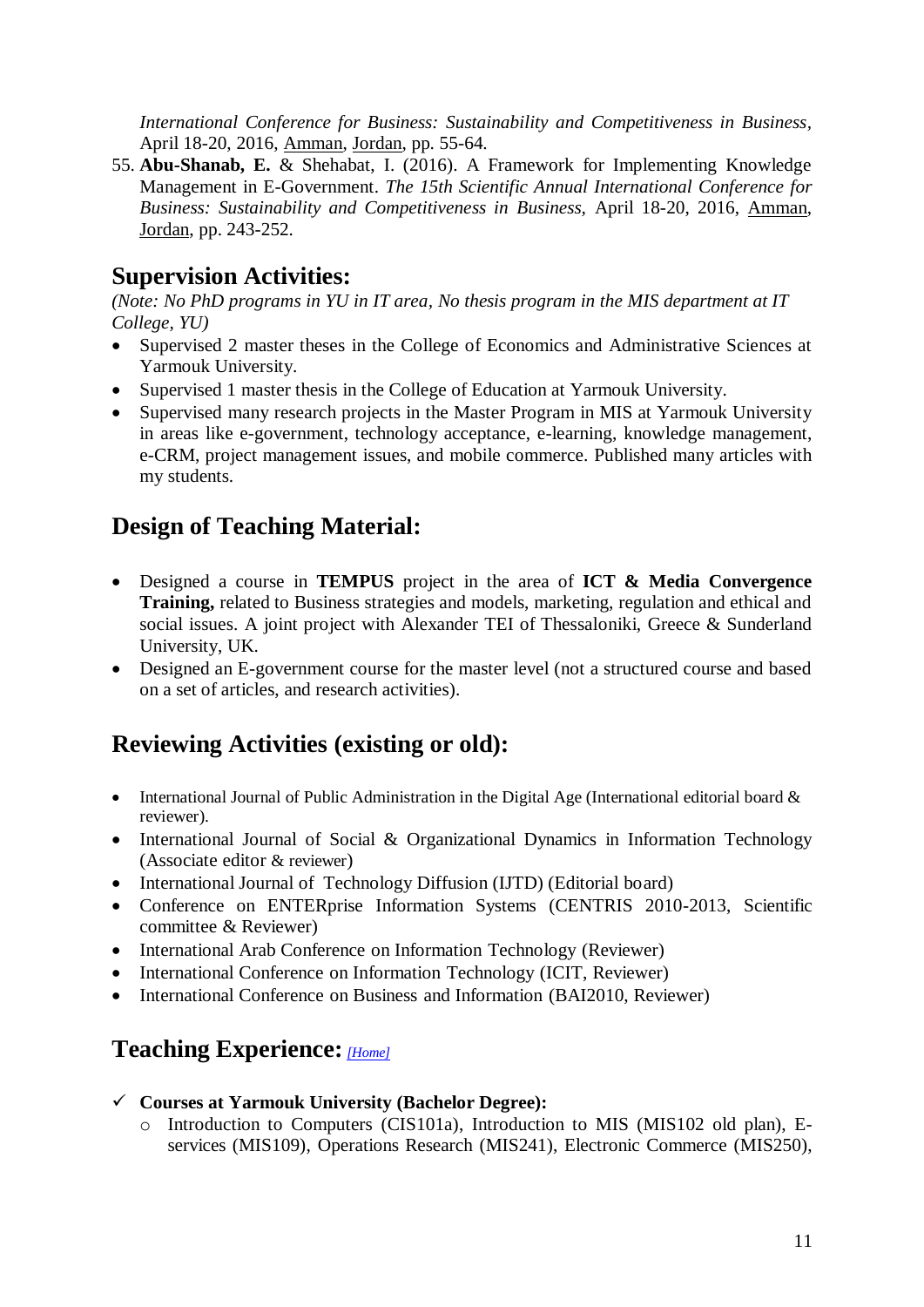*International Conference for Business: Sustainability and Competitiveness in Business,*  April 18-20, 2016, Amman, Jordan, pp. 55-64.

55. **Abu-Shanab, E.** & Shehabat, I. (2016). A Framework for Implementing Knowledge Management in E-Government. *The 15th Scientific Annual International Conference for Business: Sustainability and Competitiveness in Business,* April 18-20, 2016, Amman, Jordan, pp. 243-252.

# **Supervision Activities:**

*(Note: No PhD programs in YU in IT area, No thesis program in the MIS department at IT College, YU)*

- Supervised 2 master theses in the College of Economics and Administrative Sciences at Yarmouk University.
- Supervised 1 master thesis in the College of Education at Yarmouk University.
- Supervised many research projects in the Master Program in MIS at Yarmouk University in areas like e-government, technology acceptance, e-learning, knowledge management, e-CRM, project management issues, and mobile commerce. Published many articles with my students.

# **Design of Teaching Material:**

- Designed a course in **TEMPUS** project in the area of **ICT & Media Convergence Training,** related to Business strategies and models, marketing, regulation and ethical and social issues. A joint project with Alexander TEI of Thessaloniki, Greece & Sunderland University, UK.
- Designed an E-government course for the master level (not a structured course and based on a set of articles, and research activities).

# **Reviewing Activities (existing or old):**

- International Journal of Public Administration in the Digital Age (International editorial board  $\&$ reviewer).
- International Journal of Social & Organizational Dynamics in Information Technology (Associate editor & reviewer)
- International Journal of Technology Diffusion (IJTD) (Editorial board)
- Conference on ENTERprise Information Systems (CENTRIS 2010-2013, Scientific committee & Reviewer)
- International Arab Conference on Information Technology (Reviewer)
- International Conference on Information Technology (ICIT, Reviewer)
- International Conference on Business and Information (BAI2010, Reviewer)

# <span id="page-10-0"></span>**Teaching Experience:** *[\[Home\]](#page-0-0)*

- **Courses at Yarmouk University (Bachelor Degree):** 
	- o Introduction to Computers (CIS101a), Introduction to MIS (MIS102 old plan), Eservices (MIS109), Operations Research (MIS241), Electronic Commerce (MIS250),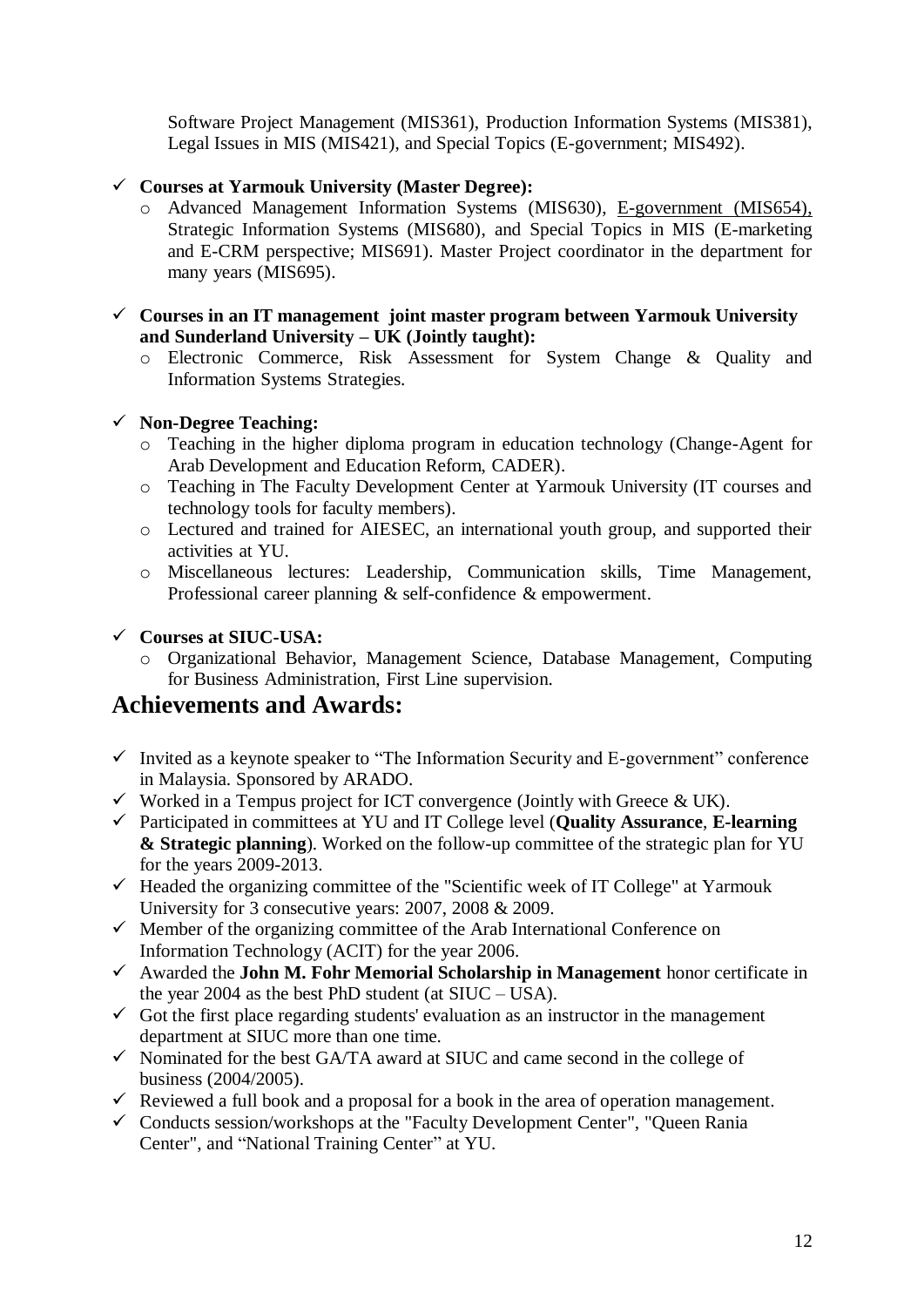Software Project Management (MIS361), Production Information Systems (MIS381), Legal Issues in MIS (MIS421), and Special Topics (E-government; MIS492).

#### **Courses at Yarmouk University (Master Degree):**

o Advanced Management Information Systems (MIS630), E-government (MIS654), Strategic Information Systems (MIS680), and Special Topics in MIS (E-marketing and E-CRM perspective; MIS691). Master Project coordinator in the department for many years (MIS695).

#### **Courses in an IT management joint master program between Yarmouk University and Sunderland University – UK (Jointly taught):**

o Electronic Commerce, Risk Assessment for System Change & Quality and Information Systems Strategies.

#### **Non-Degree Teaching:**

- o Teaching in the higher diploma program in education technology (Change-Agent for Arab Development and Education Reform, CADER).
- o Teaching in The Faculty Development Center at Yarmouk University (IT courses and technology tools for faculty members).
- o Lectured and trained for AIESEC, an international youth group, and supported their activities at YU.
- o Miscellaneous lectures: Leadership, Communication skills, Time Management, Professional career planning & self-confidence & empowerment.

#### **Courses at SIUC-USA:**

o Organizational Behavior, Management Science, Database Management, Computing for Business Administration, First Line supervision.

# **Achievements and Awards:**

- $\checkmark$  Invited as a keynote speaker to "The Information Security and E-government" conference in Malaysia. Sponsored by ARADO.
- $\checkmark$  Worked in a Tempus project for ICT convergence (Jointly with Greece & UK).
- Participated in committees at YU and IT College level (**Quality Assurance**, **E-learning & Strategic planning**). Worked on the follow-up committee of the strategic plan for YU for the years 2009-2013.
- $\checkmark$  Headed the organizing committee of the "Scientific week of IT College" at Yarmouk University for 3 consecutive years: 2007, 2008 & 2009.
- $\checkmark$  Member of the organizing committee of the Arab International Conference on Information Technology (ACIT) for the year 2006.
- Awarded the **John M. Fohr Memorial Scholarship in Management** honor certificate in the year 2004 as the best PhD student (at  $\text{SIUC} - \text{USA}$ ).
- $\checkmark$  Got the first place regarding students' evaluation as an instructor in the management department at SIUC more than one time.
- $\checkmark$  Nominated for the best GA/TA award at SIUC and came second in the college of business (2004/2005).
- $\checkmark$  Reviewed a full book and a proposal for a book in the area of operation management.
- $\checkmark$  Conducts session/workshops at the "Faculty Development Center", "Queen Rania Center", and "National Training Center" at YU.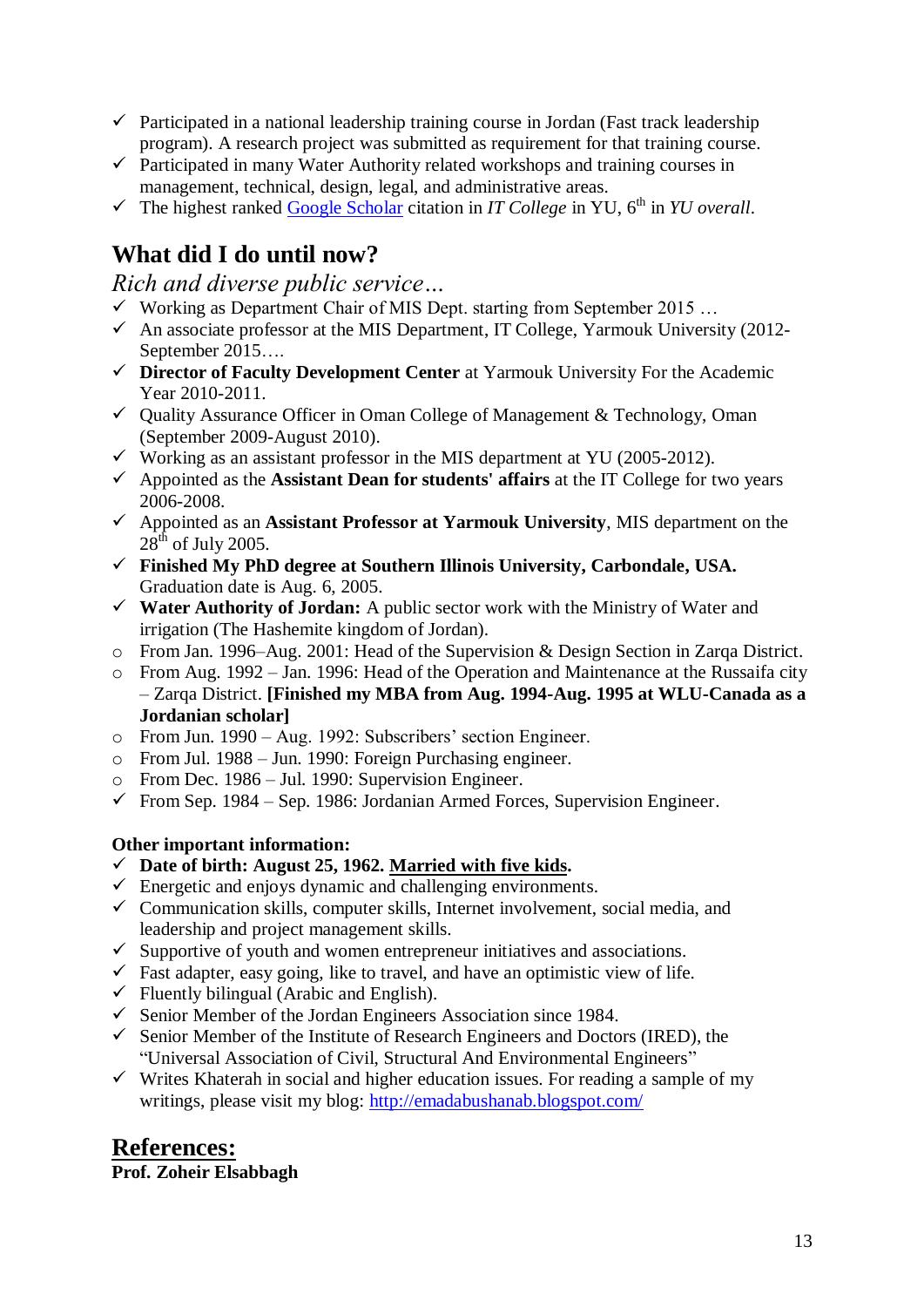- $\checkmark$  Participated in a national leadership training course in Jordan (Fast track leadership program). A research project was submitted as requirement for that training course.
- $\checkmark$  Participated in many Water Authority related workshops and training courses in management, technical, design, legal, and administrative areas.
- $\checkmark$  The highest ranked **Google Scholar** citation in *IT College* in YU, 6<sup>th</sup> in *YU overall*.

# **What did I do until now?**

*Rich and diverse public service…*

- $\checkmark$  Working as Department Chair of MIS Dept. starting from September 2015 ...
- $\checkmark$  An associate professor at the MIS Department, IT College, Yarmouk University (2012-September 2015….
- **Director of Faculty Development Center** at Yarmouk University For the Academic Year 2010-2011.
- $\checkmark$  Quality Assurance Officer in Oman College of Management & Technology, Oman (September 2009-August 2010).
- $\checkmark$  Working as an assistant professor in the MIS department at YU (2005-2012).
- Appointed as the **Assistant Dean for students' affairs** at the IT College for two years 2006-2008.
- Appointed as an **Assistant Professor at Yarmouk University**, MIS department on the  $28<sup>th</sup>$  of July 2005.
- **Finished My PhD degree at Southern Illinois University, Carbondale, USA.** Graduation date is Aug. 6, 2005.
- **Water Authority of Jordan:** A public sector work with the Ministry of Water and irrigation (The Hashemite kingdom of Jordan).
- o From Jan. 1996–Aug. 2001: Head of the Supervision & Design Section in Zarqa District.
- o From Aug. 1992 Jan. 1996: Head of the Operation and Maintenance at the Russaifa city – Zarqa District. **[Finished my MBA from Aug. 1994-Aug. 1995 at WLU-Canada as a Jordanian scholar]**
- o From Jun. 1990 Aug. 1992: Subscribers' section Engineer.
- o From Jul. 1988 Jun. 1990: Foreign Purchasing engineer.
- o From Dec. 1986 Jul. 1990: Supervision Engineer.
- $\checkmark$  From Sep. 1984 Sep. 1986: Jordanian Armed Forces, Supervision Engineer.

### **Other important information:**

- **Date of birth: August 25, 1962. Married with five kids.**
- $\checkmark$  Energetic and enjoys dynamic and challenging environments.
- $\checkmark$  Communication skills, computer skills, Internet involvement, social media, and leadership and project management skills.
- $\checkmark$  Supportive of youth and women entrepreneur initiatives and associations.
- $\checkmark$  Fast adapter, easy going, like to travel, and have an optimistic view of life.
- $\checkmark$  Fluently bilingual (Arabic and English).
- $\checkmark$  Senior Member of the Jordan Engineers Association since 1984.
- $\checkmark$  Senior Member of the Institute of Research Engineers and Doctors (IRED), the "Universal Association of Civil, Structural And Environmental Engineers"
- $\checkmark$  Writes Khaterah in social and higher education issues. For reading a sample of my writings, please visit my blog:<http://emadabushanab.blogspot.com/>

# **References:**

## **Prof. Zoheir Elsabbagh**